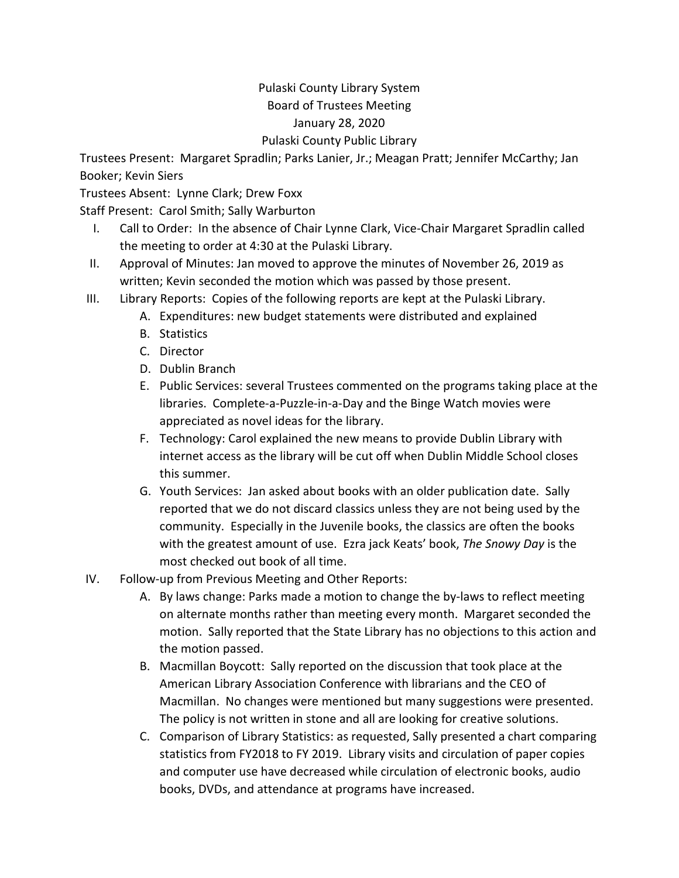## Pulaski County Library System Board of Trustees Meeting January 28, 2020 Pulaski County Public Library

Trustees Present: Margaret Spradlin; Parks Lanier, Jr.; Meagan Pratt; Jennifer McCarthy; Jan Booker; Kevin Siers

Trustees Absent: Lynne Clark; Drew Foxx

Staff Present: Carol Smith; Sally Warburton

- I. Call to Order: In the absence of Chair Lynne Clark, Vice-Chair Margaret Spradlin called the meeting to order at 4:30 at the Pulaski Library.
- II. Approval of Minutes: Jan moved to approve the minutes of November 26, 2019 as written; Kevin seconded the motion which was passed by those present.
- III. Library Reports: Copies of the following reports are kept at the Pulaski Library.
	- A. Expenditures: new budget statements were distributed and explained
	- B. Statistics
	- C. Director
	- D. Dublin Branch
	- E. Public Services: several Trustees commented on the programs taking place at the libraries. Complete-a-Puzzle-in-a-Day and the Binge Watch movies were appreciated as novel ideas for the library.
	- F. Technology: Carol explained the new means to provide Dublin Library with internet access as the library will be cut off when Dublin Middle School closes this summer.
	- G. Youth Services: Jan asked about books with an older publication date. Sally reported that we do not discard classics unless they are not being used by the community. Especially in the Juvenile books, the classics are often the books with the greatest amount of use. Ezra jack Keats' book, *The Snowy Day* is the most checked out book of all time.
- IV. Follow-up from Previous Meeting and Other Reports:
	- A. By laws change: Parks made a motion to change the by-laws to reflect meeting on alternate months rather than meeting every month. Margaret seconded the motion. Sally reported that the State Library has no objections to this action and the motion passed.
	- B. Macmillan Boycott: Sally reported on the discussion that took place at the American Library Association Conference with librarians and the CEO of Macmillan. No changes were mentioned but many suggestions were presented. The policy is not written in stone and all are looking for creative solutions.
	- C. Comparison of Library Statistics: as requested, Sally presented a chart comparing statistics from FY2018 to FY 2019. Library visits and circulation of paper copies and computer use have decreased while circulation of electronic books, audio books, DVDs, and attendance at programs have increased.